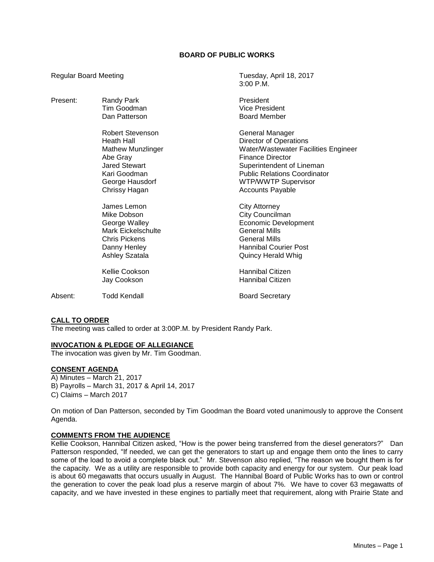## **BOARD OF PUBLIC WORKS**

Regular Board Meeting Tuesday, April 18, 2017 3:00 P.M. Present: Randy Park **President** Tim Goodman Vice President Dan Patterson **Board Member** Robert Stevenson General Manager Heath Hall **Hall Communist Communist Communist Communist Communist Communist Communist Communist Communist Communist Communist Communist Communist Communist Communist Communist Communist Communist Communist Communist Commu** Water/Wastewater Facilities Engineer Abe Gray **Abe Gray Finance Director** Jared Stewart **Superintendent of Lineman**<br>
Superintendent of Lineman<br>
Superintendent of Lineman<br>
Public Relations Coordinato **Public Relations Coordinator** George Hausdorf **WIFICH WTP/WWTP** Supervisor Chrissy Hagan **Accounts Payable** Accounts Payable James Lemon City Attorney Mike Dobson City Councilman George Walley **Example 20** Economic Development Mark Eickelschulte General Mills Chris Pickens **General Mills** Danny Henley **Hannibal Courier Post** Ashley Szatala **Ashley Szatala Calculated Ashley Szatala Quincy Herald Whig** Kellie Cookson **Hannibal Citizen** Jay Cookson **Hannibal Citizen** Absent: Todd Kendall Board Secretary

### **CALL TO ORDER**

The meeting was called to order at 3:00P.M. by President Randy Park.

## **INVOCATION & PLEDGE OF ALLEGIANCE**

The invocation was given by Mr. Tim Goodman.

#### **CONSENT AGENDA**

A) Minutes – March 21, 2017 B) Payrolls – March 31, 2017 & April 14, 2017 C) Claims – March 2017

On motion of Dan Patterson, seconded by Tim Goodman the Board voted unanimously to approve the Consent Agenda.

#### **COMMENTS FROM THE AUDIENCE**

Kellie Cookson, Hannibal Citizen asked, "How is the power being transferred from the diesel generators?" Dan Patterson responded, "If needed, we can get the generators to start up and engage them onto the lines to carry some of the load to avoid a complete black out." Mr. Stevenson also replied, "The reason we bought them is for the capacity. We as a utility are responsible to provide both capacity and energy for our system. Our peak load is about 60 megawatts that occurs usually in August. The Hannibal Board of Public Works has to own or control the generation to cover the peak load plus a reserve margin of about 7%. We have to cover 63 megawatts of capacity, and we have invested in these engines to partially meet that requirement, along with Prairie State and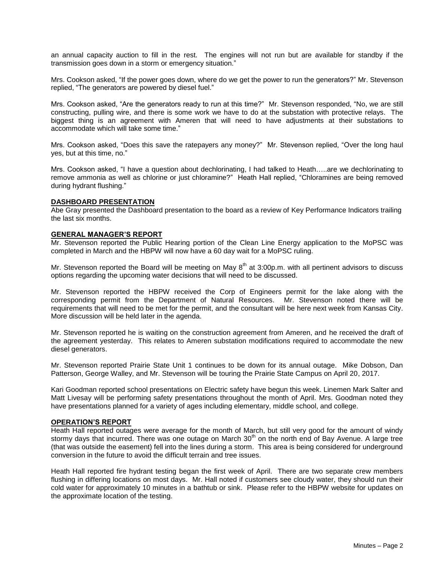an annual capacity auction to fill in the rest. The engines will not run but are available for standby if the transmission goes down in a storm or emergency situation."

Mrs. Cookson asked, "If the power goes down, where do we get the power to run the generators?" Mr. Stevenson replied, "The generators are powered by diesel fuel."

Mrs. Cookson asked, "Are the generators ready to run at this time?" Mr. Stevenson responded, "No, we are still constructing, pulling wire, and there is some work we have to do at the substation with protective relays. The biggest thing is an agreement with Ameren that will need to have adjustments at their substations to accommodate which will take some time."

Mrs. Cookson asked, "Does this save the ratepayers any money?" Mr. Stevenson replied, "Over the long haul yes, but at this time, no."

Mrs. Cookson asked, "I have a question about dechlorinating, I had talked to Heath…..are we dechlorinating to remove ammonia as well as chlorine or just chloramine?" Heath Hall replied, "Chloramines are being removed during hydrant flushing."

#### **DASHBOARD PRESENTATION**

Abe Gray presented the Dashboard presentation to the board as a review of Key Performance Indicators trailing the last six months.

#### **GENERAL MANAGER'S REPORT**

Mr. Stevenson reported the Public Hearing portion of the Clean Line Energy application to the MoPSC was completed in March and the HBPW will now have a 60 day wait for a MoPSC ruling.

Mr. Stevenson reported the Board will be meeting on May  $8<sup>th</sup>$  at 3:00p.m. with all pertinent advisors to discuss options regarding the upcoming water decisions that will need to be discussed.

Mr. Stevenson reported the HBPW received the Corp of Engineers permit for the lake along with the corresponding permit from the Department of Natural Resources. Mr. Stevenson noted there will be requirements that will need to be met for the permit, and the consultant will be here next week from Kansas City. More discussion will be held later in the agenda.

Mr. Stevenson reported he is waiting on the construction agreement from Ameren, and he received the draft of the agreement yesterday. This relates to Ameren substation modifications required to accommodate the new diesel generators.

Mr. Stevenson reported Prairie State Unit 1 continues to be down for its annual outage. Mike Dobson, Dan Patterson, George Walley, and Mr. Stevenson will be touring the Prairie State Campus on April 20, 2017.

Kari Goodman reported school presentations on Electric safety have begun this week. Linemen Mark Salter and Matt Livesay will be performing safety presentations throughout the month of April. Mrs. Goodman noted they have presentations planned for a variety of ages including elementary, middle school, and college.

## **OPERATION'S REPORT**

Heath Hall reported outages were average for the month of March, but still very good for the amount of windy stormy days that incurred. There was one outage on March 30<sup>th</sup> on the north end of Bay Avenue. A large tree (that was outside the easement) fell into the lines during a storm. This area is being considered for underground conversion in the future to avoid the difficult terrain and tree issues.

Heath Hall reported fire hydrant testing began the first week of April. There are two separate crew members flushing in differing locations on most days. Mr. Hall noted if customers see cloudy water, they should run their cold water for approximately 10 minutes in a bathtub or sink. Please refer to the HBPW website for updates on the approximate location of the testing.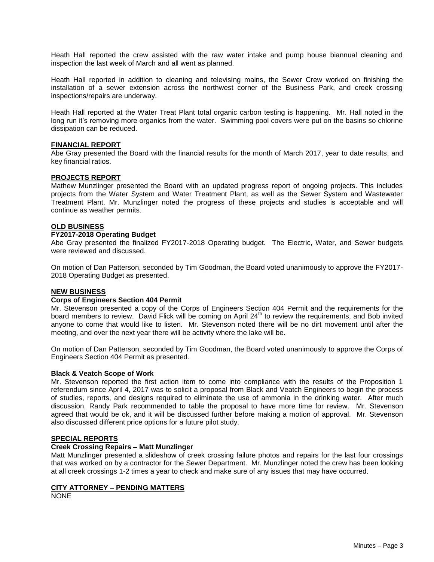Heath Hall reported the crew assisted with the raw water intake and pump house biannual cleaning and inspection the last week of March and all went as planned.

Heath Hall reported in addition to cleaning and televising mains, the Sewer Crew worked on finishing the installation of a sewer extension across the northwest corner of the Business Park, and creek crossing inspections/repairs are underway.

Heath Hall reported at the Water Treat Plant total organic carbon testing is happening. Mr. Hall noted in the long run it's removing more organics from the water. Swimming pool covers were put on the basins so chlorine dissipation can be reduced.

### **FINANCIAL REPORT**

Abe Gray presented the Board with the financial results for the month of March 2017, year to date results, and key financial ratios.

#### **PROJECTS REPORT**

Mathew Munzlinger presented the Board with an updated progress report of ongoing projects. This includes projects from the Water System and Water Treatment Plant, as well as the Sewer System and Wastewater Treatment Plant. Mr. Munzlinger noted the progress of these projects and studies is acceptable and will continue as weather permits.

### **OLD BUSINESS**

#### **FY2017-2018 Operating Budget**

Abe Gray presented the finalized FY2017-2018 Operating budget. The Electric, Water, and Sewer budgets were reviewed and discussed.

On motion of Dan Patterson, seconded by Tim Goodman, the Board voted unanimously to approve the FY2017- 2018 Operating Budget as presented.

#### **NEW BUSINESS**

#### **Corps of Engineers Section 404 Permit**

Mr. Stevenson presented a copy of the Corps of Engineers Section 404 Permit and the requirements for the board members to review. David Flick will be coming on April 24<sup>th</sup> to review the requirements, and Bob invited anyone to come that would like to listen. Mr. Stevenson noted there will be no dirt movement until after the meeting, and over the next year there will be activity where the lake will be.

On motion of Dan Patterson, seconded by Tim Goodman, the Board voted unanimously to approve the Corps of Engineers Section 404 Permit as presented.

#### **Black & Veatch Scope of Work**

Mr. Stevenson reported the first action item to come into compliance with the results of the Proposition 1 referendum since April 4, 2017 was to solicit a proposal from Black and Veatch Engineers to begin the process of studies, reports, and designs required to eliminate the use of ammonia in the drinking water. After much discussion, Randy Park recommended to table the proposal to have more time for review. Mr. Stevenson agreed that would be ok, and it will be discussed further before making a motion of approval. Mr. Stevenson also discussed different price options for a future pilot study.

## **SPECIAL REPORTS**

#### **Creek Crossing Repairs – Matt Munzlinger**

Matt Munzlinger presented a slideshow of creek crossing failure photos and repairs for the last four crossings that was worked on by a contractor for the Sewer Department. Mr. Munzlinger noted the crew has been looking at all creek crossings 1-2 times a year to check and make sure of any issues that may have occurred.

### **CITY ATTORNEY – PENDING MATTERS**

NONE